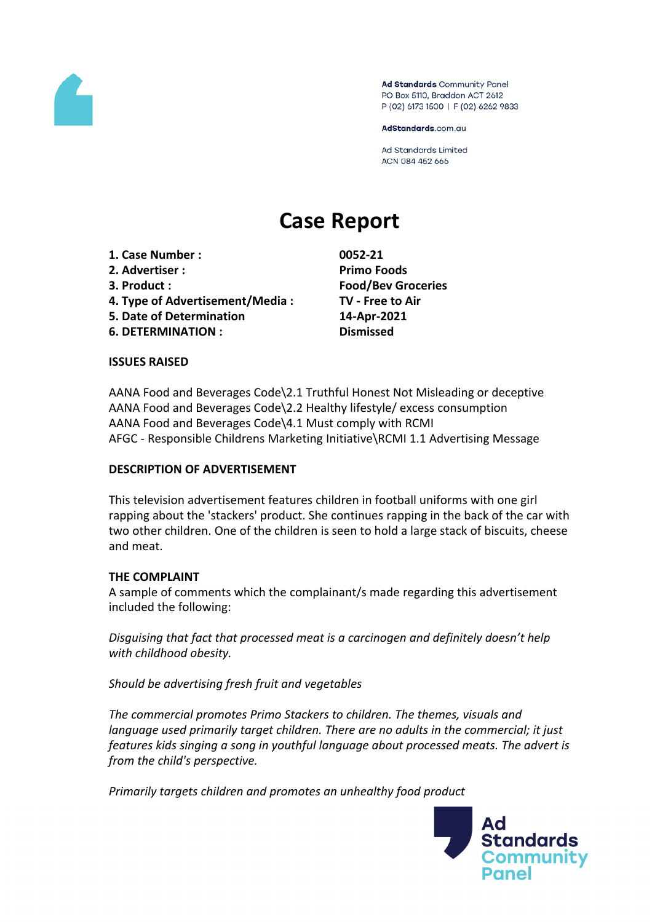

Ad Standards Community Panel PO Box 5110, Braddon ACT 2612 P (02) 6173 1500 | F (02) 6262 9833

AdStandards.com.au

Ad Standards Limited ACN 084 452 666

# **Case Report**

**1. Case Number : 0052-21**

- **2. Advertiser : Primo Foods**
- 
- **4. Type of Advertisement/Media : TV - Free to Air**
- **5. Date of Determination 14-Apr-2021**
- **6. DETERMINATION : Dismissed**

**3. Product : Food/Bev Groceries**

# **ISSUES RAISED**

AANA Food and Beverages Code\2.1 Truthful Honest Not Misleading or deceptive AANA Food and Beverages Code\2.2 Healthy lifestyle/ excess consumption AANA Food and Beverages Code\4.1 Must comply with RCMI AFGC - Responsible Childrens Marketing Initiative\RCMI 1.1 Advertising Message

# **DESCRIPTION OF ADVERTISEMENT**

This television advertisement features children in football uniforms with one girl rapping about the 'stackers' product. She continues rapping in the back of the car with two other children. One of the children is seen to hold a large stack of biscuits, cheese and meat.

# **THE COMPLAINT**

A sample of comments which the complainant/s made regarding this advertisement included the following:

*Disguising that fact that processed meat is a carcinogen and definitely doesn't help with childhood obesity.*

*Should be advertising fresh fruit and vegetables*

*The commercial promotes Primo Stackers to children. The themes, visuals and language used primarily target children. There are no adults in the commercial; it just features kids singing a song in youthful language about processed meats. The advert is from the child's perspective.*

*Primarily targets children and promotes an unhealthy food product*

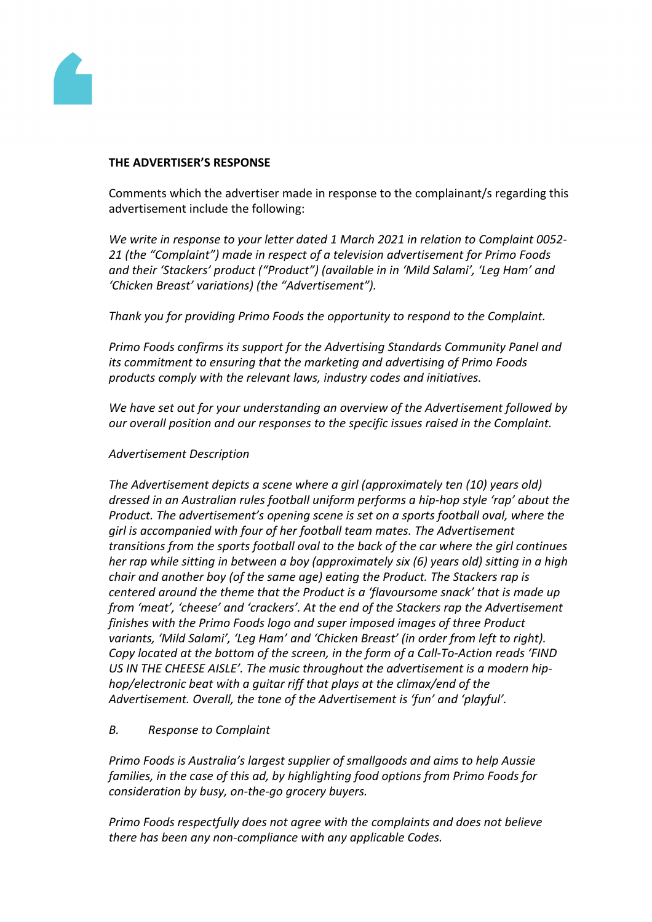

#### **THE ADVERTISER'S RESPONSE**

Comments which the advertiser made in response to the complainant/s regarding this advertisement include the following:

*We write in response to your letter dated 1 March 2021 in relation to Complaint 0052- 21 (the "Complaint") made in respect of a television advertisement for Primo Foods and their 'Stackers' product ("Product") (available in in 'Mild Salami', 'Leg Ham' and 'Chicken Breast' variations) (the "Advertisement").*

*Thank you for providing Primo Foods the opportunity to respond to the Complaint.*

*Primo Foods confirms its support for the Advertising Standards Community Panel and its commitment to ensuring that the marketing and advertising of Primo Foods products comply with the relevant laws, industry codes and initiatives.*

*We have set out for your understanding an overview of the Advertisement followed by our overall position and our responses to the specific issues raised in the Complaint.*

#### *Advertisement Description*

*The Advertisement depicts a scene where a girl (approximately ten (10) years old) dressed in an Australian rules football uniform performs a hip-hop style 'rap' about the Product. The advertisement's opening scene is set on a sports football oval, where the girl is accompanied with four of her football team mates. The Advertisement transitions from the sports football oval to the back of the car where the girl continues her rap while sitting in between a boy (approximately six (6) years old) sitting in a high chair and another boy (of the same age) eating the Product. The Stackers rap is centered around the theme that the Product is a 'flavoursome snack' that is made up from 'meat', 'cheese' and 'crackers'. At the end of the Stackers rap the Advertisement finishes with the Primo Foods logo and super imposed images of three Product variants, 'Mild Salami', 'Leg Ham' and 'Chicken Breast' (in order from left to right). Copy located at the bottom of the screen, in the form of a Call-To-Action reads 'FIND US IN THE CHEESE AISLE'. The music throughout the advertisement is a modern hiphop/electronic beat with a guitar riff that plays at the climax/end of the Advertisement. Overall, the tone of the Advertisement is 'fun' and 'playful'.*

# *B. Response to Complaint*

*Primo Foods is Australia's largest supplier of smallgoods and aims to help Aussie families, in the case of this ad, by highlighting food options from Primo Foods for consideration by busy, on-the-go grocery buyers.*

*Primo Foods respectfully does not agree with the complaints and does not believe there has been any non-compliance with any applicable Codes.*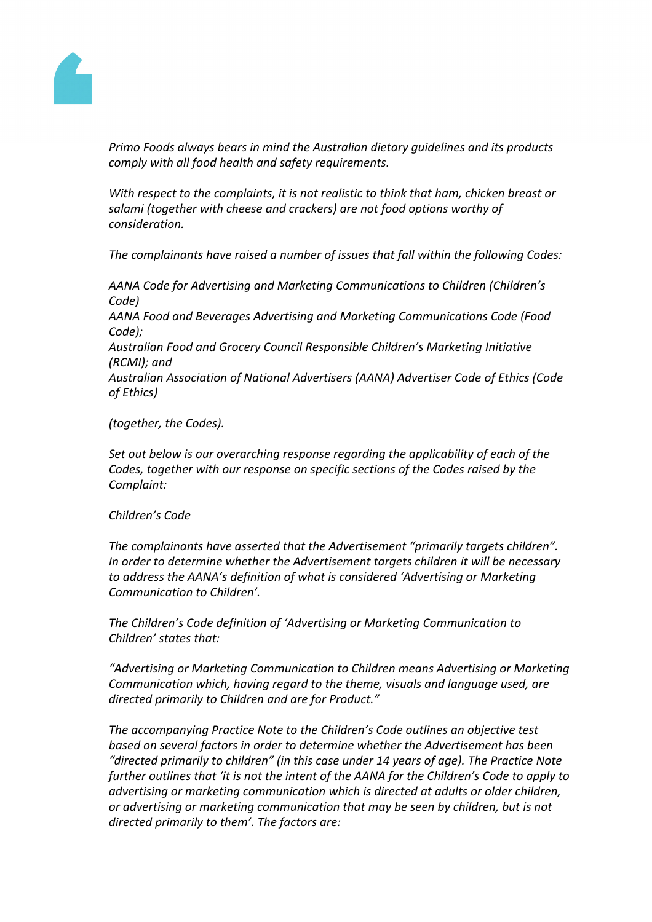

*Primo Foods always bears in mind the Australian dietary guidelines and its products comply with all food health and safety requirements.*

*With respect to the complaints, it is not realistic to think that ham, chicken breast or salami (together with cheese and crackers) are not food options worthy of consideration.* 

*The complainants have raised a number of issues that fall within the following Codes:*

*AANA Code for Advertising and Marketing Communications to Children (Children's Code)*

*AANA Food and Beverages Advertising and Marketing Communications Code (Food Code);*

*Australian Food and Grocery Council Responsible Children's Marketing Initiative (RCMI); and*

*Australian Association of National Advertisers (AANA) Advertiser Code of Ethics (Code of Ethics)*

*(together, the Codes).*

*Set out below is our overarching response regarding the applicability of each of the Codes, together with our response on specific sections of the Codes raised by the Complaint:*

#### *Children's Code*

*The complainants have asserted that the Advertisement "primarily targets children". In order to determine whether the Advertisement targets children it will be necessary to address the AANA's definition of what is considered 'Advertising or Marketing Communication to Children'.*

*The Children's Code definition of 'Advertising or Marketing Communication to Children' states that:*

*"Advertising or Marketing Communication to Children means Advertising or Marketing Communication which, having regard to the theme, visuals and language used, are directed primarily to Children and are for Product."*

*The accompanying Practice Note to the Children's Code outlines an objective test based on several factors in order to determine whether the Advertisement has been "directed primarily to children" (in this case under 14 years of age). The Practice Note further outlines that 'it is not the intent of the AANA for the Children's Code to apply to advertising or marketing communication which is directed at adults or older children, or advertising or marketing communication that may be seen by children, but is not directed primarily to them'. The factors are:*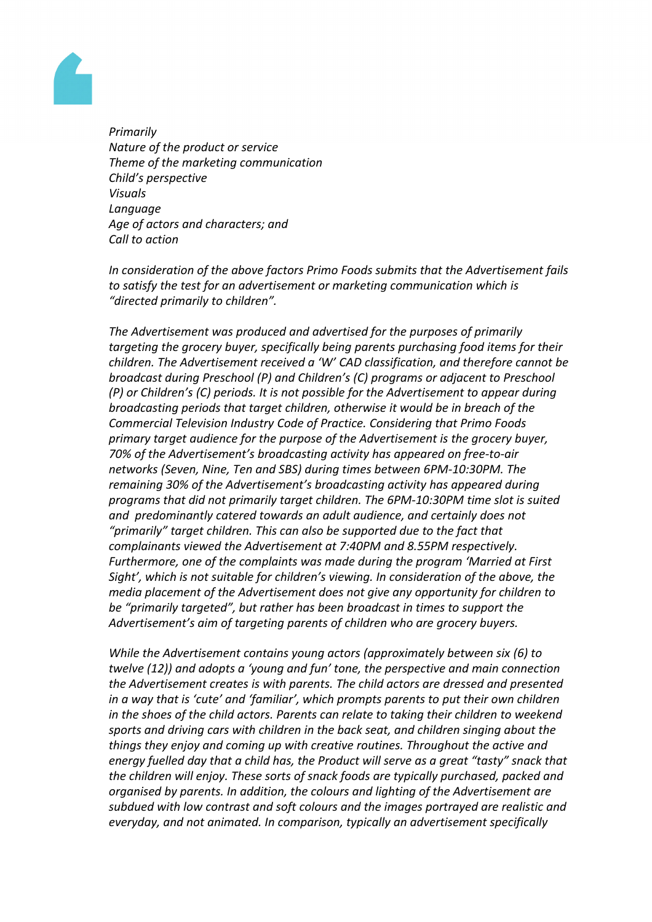

*Primarily Nature of the product or service Theme of the marketing communication Child's perspective Visuals Language Age of actors and characters; and Call to action*

*In consideration of the above factors Primo Foods submits that the Advertisement fails to satisfy the test for an advertisement or marketing communication which is "directed primarily to children".*

*The Advertisement was produced and advertised for the purposes of primarily targeting the grocery buyer, specifically being parents purchasing food items for their children. The Advertisement received a 'W' CAD classification, and therefore cannot be broadcast during Preschool (P) and Children's (C) programs or adjacent to Preschool (P) or Children's (C) periods. It is not possible for the Advertisement to appear during broadcasting periods that target children, otherwise it would be in breach of the Commercial Television Industry Code of Practice. Considering that Primo Foods primary target audience for the purpose of the Advertisement is the grocery buyer, 70% of the Advertisement's broadcasting activity has appeared on free-to-air networks (Seven, Nine, Ten and SBS) during times between 6PM-10:30PM. The remaining 30% of the Advertisement's broadcasting activity has appeared during programs that did not primarily target children. The 6PM-10:30PM time slot is suited and predominantly catered towards an adult audience, and certainly does not "primarily" target children. This can also be supported due to the fact that complainants viewed the Advertisement at 7:40PM and 8.55PM respectively. Furthermore, one of the complaints was made during the program 'Married at First Sight', which is not suitable for children's viewing. In consideration of the above, the media placement of the Advertisement does not give any opportunity for children to be "primarily targeted", but rather has been broadcast in times to support the Advertisement's aim of targeting parents of children who are grocery buyers.*

*While the Advertisement contains young actors (approximately between six (6) to twelve (12)) and adopts a 'young and fun' tone, the perspective and main connection the Advertisement creates is with parents. The child actors are dressed and presented in a way that is 'cute' and 'familiar', which prompts parents to put their own children in the shoes of the child actors. Parents can relate to taking their children to weekend sports and driving cars with children in the back seat, and children singing about the things they enjoy and coming up with creative routines. Throughout the active and energy fuelled day that a child has, the Product will serve as a great "tasty" snack that the children will enjoy. These sorts of snack foods are typically purchased, packed and organised by parents. In addition, the colours and lighting of the Advertisement are subdued with low contrast and soft colours and the images portrayed are realistic and everyday, and not animated. In comparison, typically an advertisement specifically*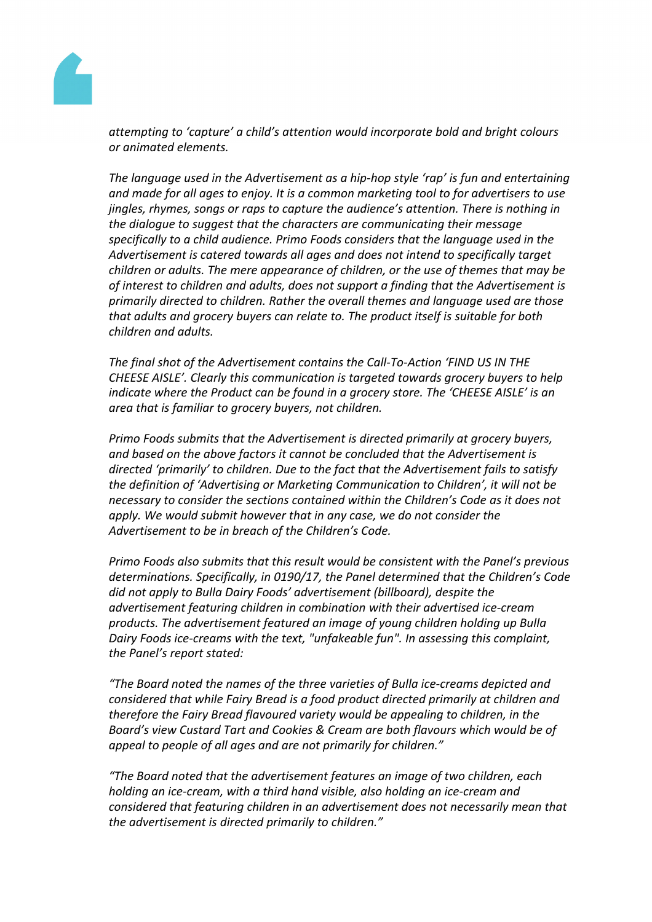

*attempting to 'capture' a child's attention would incorporate bold and bright colours or animated elements.*

*The language used in the Advertisement as a hip-hop style 'rap' is fun and entertaining and made for all ages to enjoy. It is a common marketing tool to for advertisers to use jingles, rhymes, songs or raps to capture the audience's attention. There is nothing in the dialogue to suggest that the characters are communicating their message specifically to a child audience. Primo Foods considers that the language used in the Advertisement is catered towards all ages and does not intend to specifically target children or adults. The mere appearance of children, or the use of themes that may be of interest to children and adults, does not support a finding that the Advertisement is primarily directed to children. Rather the overall themes and language used are those that adults and grocery buyers can relate to. The product itself is suitable for both children and adults.*

*The final shot of the Advertisement contains the Call-To-Action 'FIND US IN THE CHEESE AISLE'. Clearly this communication is targeted towards grocery buyers to help indicate where the Product can be found in a grocery store. The 'CHEESE AISLE' is an area that is familiar to grocery buyers, not children.*

*Primo Foods submits that the Advertisement is directed primarily at grocery buyers, and based on the above factors it cannot be concluded that the Advertisement is directed 'primarily' to children. Due to the fact that the Advertisement fails to satisfy the definition of 'Advertising or Marketing Communication to Children', it will not be necessary to consider the sections contained within the Children's Code as it does not apply. We would submit however that in any case, we do not consider the Advertisement to be in breach of the Children's Code.*

*Primo Foods also submits that this result would be consistent with the Panel's previous determinations. Specifically, in 0190/17, the Panel determined that the Children's Code did not apply to Bulla Dairy Foods' advertisement (billboard), despite the advertisement featuring children in combination with their advertised ice-cream products. The advertisement featured an image of young children holding up Bulla Dairy Foods ice-creams with the text, "unfakeable fun". In assessing this complaint, the Panel's report stated:*

*"The Board noted the names of the three varieties of Bulla ice-creams depicted and considered that while Fairy Bread is a food product directed primarily at children and therefore the Fairy Bread flavoured variety would be appealing to children, in the Board's view Custard Tart and Cookies & Cream are both flavours which would be of appeal to people of all ages and are not primarily for children."*

*"The Board noted that the advertisement features an image of two children, each holding an ice-cream, with a third hand visible, also holding an ice-cream and considered that featuring children in an advertisement does not necessarily mean that the advertisement is directed primarily to children."*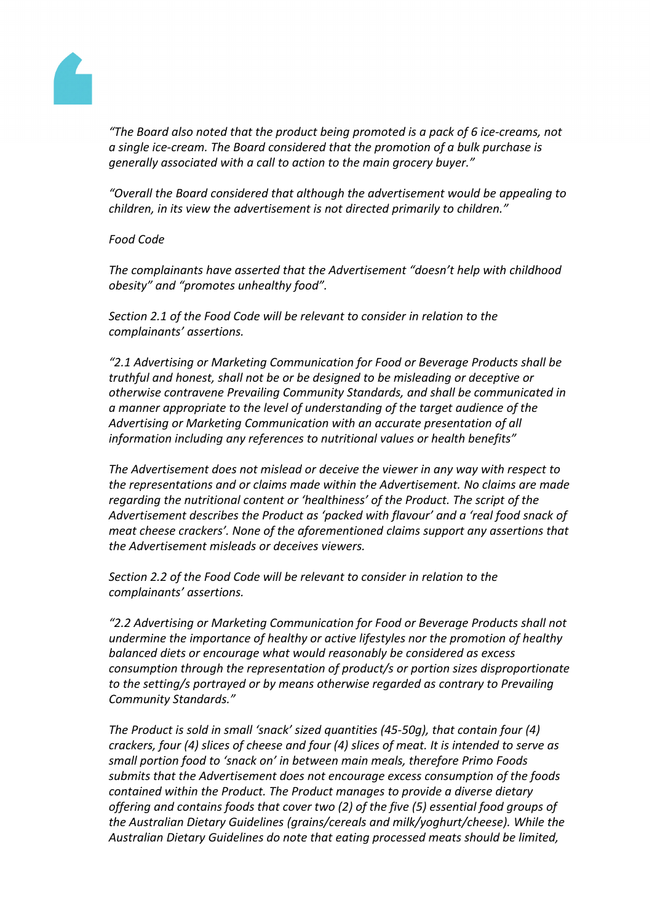

*"The Board also noted that the product being promoted is a pack of 6 ice-creams, not a single ice-cream. The Board considered that the promotion of a bulk purchase is generally associated with a call to action to the main grocery buyer."*

*"Overall the Board considered that although the advertisement would be appealing to children, in its view the advertisement is not directed primarily to children."*

*Food Code*

*The complainants have asserted that the Advertisement "doesn't help with childhood obesity" and "promotes unhealthy food".*

*Section 2.1 of the Food Code will be relevant to consider in relation to the complainants' assertions.*

*"2.1 Advertising or Marketing Communication for Food or Beverage Products shall be truthful and honest, shall not be or be designed to be misleading or deceptive or otherwise contravene Prevailing Community Standards, and shall be communicated in a manner appropriate to the level of understanding of the target audience of the Advertising or Marketing Communication with an accurate presentation of all information including any references to nutritional values or health benefits"*

*The Advertisement does not mislead or deceive the viewer in any way with respect to the representations and or claims made within the Advertisement. No claims are made regarding the nutritional content or 'healthiness' of the Product. The script of the Advertisement describes the Product as 'packed with flavour' and a 'real food snack of meat cheese crackers'. None of the aforementioned claims support any assertions that the Advertisement misleads or deceives viewers.*

*Section 2.2 of the Food Code will be relevant to consider in relation to the complainants' assertions.*

*"2.2 Advertising or Marketing Communication for Food or Beverage Products shall not undermine the importance of healthy or active lifestyles nor the promotion of healthy balanced diets or encourage what would reasonably be considered as excess consumption through the representation of product/s or portion sizes disproportionate to the setting/s portrayed or by means otherwise regarded as contrary to Prevailing Community Standards."*

*The Product is sold in small 'snack' sized quantities (45-50g), that contain four (4) crackers, four (4) slices of cheese and four (4) slices of meat. It is intended to serve as small portion food to 'snack on' in between main meals, therefore Primo Foods submits that the Advertisement does not encourage excess consumption of the foods contained within the Product. The Product manages to provide a diverse dietary offering and contains foods that cover two (2) of the five (5) essential food groups of the Australian Dietary Guidelines (grains/cereals and milk/yoghurt/cheese). While the Australian Dietary Guidelines do note that eating processed meats should be limited,*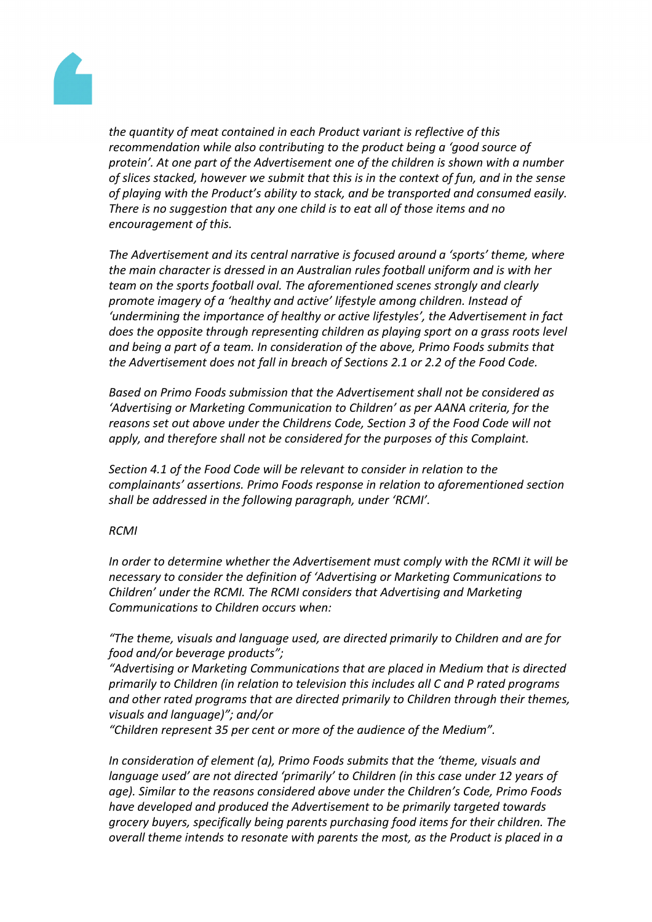

*the quantity of meat contained in each Product variant is reflective of this recommendation while also contributing to the product being a 'good source of protein'. At one part of the Advertisement one of the children is shown with a number of slices stacked, however we submit that this is in the context of fun, and in the sense of playing with the Product's ability to stack, and be transported and consumed easily. There is no suggestion that any one child is to eat all of those items and no encouragement of this.*

*The Advertisement and its central narrative is focused around a 'sports' theme, where the main character is dressed in an Australian rules football uniform and is with her team on the sports football oval. The aforementioned scenes strongly and clearly promote imagery of a 'healthy and active' lifestyle among children. Instead of 'undermining the importance of healthy or active lifestyles', the Advertisement in fact does the opposite through representing children as playing sport on a grass roots level and being a part of a team. In consideration of the above, Primo Foods submits that the Advertisement does not fall in breach of Sections 2.1 or 2.2 of the Food Code.*

*Based on Primo Foods submission that the Advertisement shall not be considered as 'Advertising or Marketing Communication to Children' as per AANA criteria, for the reasons set out above under the Childrens Code, Section 3 of the Food Code will not apply, and therefore shall not be considered for the purposes of this Complaint.* 

*Section 4.1 of the Food Code will be relevant to consider in relation to the complainants' assertions. Primo Foods response in relation to aforementioned section shall be addressed in the following paragraph, under 'RCMI'.*

#### *RCMI*

*In order to determine whether the Advertisement must comply with the RCMI it will be necessary to consider the definition of 'Advertising or Marketing Communications to Children' under the RCMI. The RCMI considers that Advertising and Marketing Communications to Children occurs when:*

*"The theme, visuals and language used, are directed primarily to Children and are for food and/or beverage products";*

*"Advertising or Marketing Communications that are placed in Medium that is directed primarily to Children (in relation to television this includes all C and P rated programs and other rated programs that are directed primarily to Children through their themes, visuals and language)"; and/or*

*"Children represent 35 per cent or more of the audience of the Medium".*

*In consideration of element (a), Primo Foods submits that the 'theme, visuals and language used' are not directed 'primarily' to Children (in this case under 12 years of age). Similar to the reasons considered above under the Children's Code, Primo Foods have developed and produced the Advertisement to be primarily targeted towards grocery buyers, specifically being parents purchasing food items for their children. The overall theme intends to resonate with parents the most, as the Product is placed in a*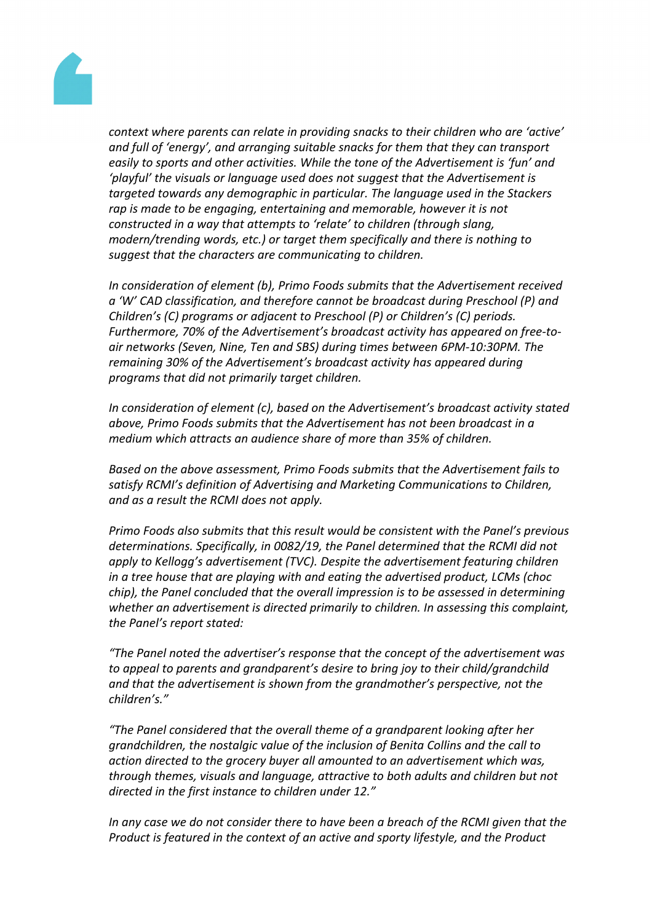

*context where parents can relate in providing snacks to their children who are 'active' and full of 'energy', and arranging suitable snacks for them that they can transport easily to sports and other activities. While the tone of the Advertisement is 'fun' and 'playful' the visuals or language used does not suggest that the Advertisement is targeted towards any demographic in particular. The language used in the Stackers rap is made to be engaging, entertaining and memorable, however it is not constructed in a way that attempts to 'relate' to children (through slang, modern/trending words, etc.) or target them specifically and there is nothing to suggest that the characters are communicating to children.*

*In consideration of element (b), Primo Foods submits that the Advertisement received a 'W' CAD classification, and therefore cannot be broadcast during Preschool (P) and Children's (C) programs or adjacent to Preschool (P) or Children's (C) periods. Furthermore, 70% of the Advertisement's broadcast activity has appeared on free-toair networks (Seven, Nine, Ten and SBS) during times between 6PM-10:30PM. The remaining 30% of the Advertisement's broadcast activity has appeared during programs that did not primarily target children.*

*In consideration of element (c), based on the Advertisement's broadcast activity stated above, Primo Foods submits that the Advertisement has not been broadcast in a medium which attracts an audience share of more than 35% of children.*

*Based on the above assessment, Primo Foods submits that the Advertisement fails to satisfy RCMI's definition of Advertising and Marketing Communications to Children, and as a result the RCMI does not apply.*

*Primo Foods also submits that this result would be consistent with the Panel's previous determinations. Specifically, in 0082/19, the Panel determined that the RCMI did not apply to Kellogg's advertisement (TVC). Despite the advertisement featuring children in a tree house that are playing with and eating the advertised product, LCMs (choc chip), the Panel concluded that the overall impression is to be assessed in determining whether an advertisement is directed primarily to children. In assessing this complaint, the Panel's report stated:*

*"The Panel noted the advertiser's response that the concept of the advertisement was to appeal to parents and grandparent's desire to bring joy to their child/grandchild and that the advertisement is shown from the grandmother's perspective, not the children's."*

*"The Panel considered that the overall theme of a grandparent looking after her grandchildren, the nostalgic value of the inclusion of Benita Collins and the call to action directed to the grocery buyer all amounted to an advertisement which was, through themes, visuals and language, attractive to both adults and children but not directed in the first instance to children under 12."*

*In any case we do not consider there to have been a breach of the RCMI given that the Product is featured in the context of an active and sporty lifestyle, and the Product*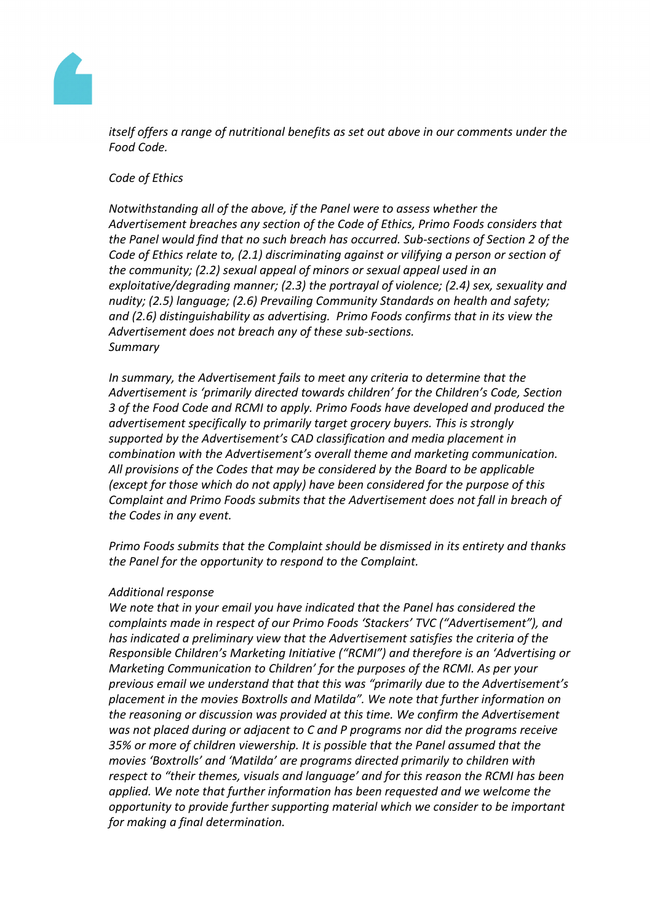

*itself offers a range of nutritional benefits as set out above in our comments under the Food Code.*

*Code of Ethics*

*Notwithstanding all of the above, if the Panel were to assess whether the Advertisement breaches any section of the Code of Ethics, Primo Foods considers that the Panel would find that no such breach has occurred. Sub-sections of Section 2 of the Code of Ethics relate to, (2.1) discriminating against or vilifying a person or section of the community; (2.2) sexual appeal of minors or sexual appeal used in an exploitative/degrading manner; (2.3) the portrayal of violence; (2.4) sex, sexuality and nudity; (2.5) language; (2.6) Prevailing Community Standards on health and safety; and (2.6) distinguishability as advertising. Primo Foods confirms that in its view the Advertisement does not breach any of these sub-sections. Summary*

*In summary, the Advertisement fails to meet any criteria to determine that the Advertisement is 'primarily directed towards children' for the Children's Code, Section 3 of the Food Code and RCMI to apply. Primo Foods have developed and produced the advertisement specifically to primarily target grocery buyers. This is strongly supported by the Advertisement's CAD classification and media placement in combination with the Advertisement's overall theme and marketing communication. All provisions of the Codes that may be considered by the Board to be applicable (except for those which do not apply) have been considered for the purpose of this Complaint and Primo Foods submits that the Advertisement does not fall in breach of the Codes in any event.*

*Primo Foods submits that the Complaint should be dismissed in its entirety and thanks the Panel for the opportunity to respond to the Complaint.*

#### *Additional response*

*We note that in your email you have indicated that the Panel has considered the complaints made in respect of our Primo Foods 'Stackers' TVC ("Advertisement"), and has indicated a preliminary view that the Advertisement satisfies the criteria of the Responsible Children's Marketing Initiative ("RCMI") and therefore is an 'Advertising or Marketing Communication to Children' for the purposes of the RCMI. As per your previous email we understand that that this was "primarily due to the Advertisement's placement in the movies Boxtrolls and Matilda". We note that further information on the reasoning or discussion was provided at this time. We confirm the Advertisement was not placed during or adjacent to C and P programs nor did the programs receive 35% or more of children viewership. It is possible that the Panel assumed that the movies 'Boxtrolls' and 'Matilda' are programs directed primarily to children with respect to "their themes, visuals and language' and for this reason the RCMI has been applied. We note that further information has been requested and we welcome the opportunity to provide further supporting material which we consider to be important for making a final determination.*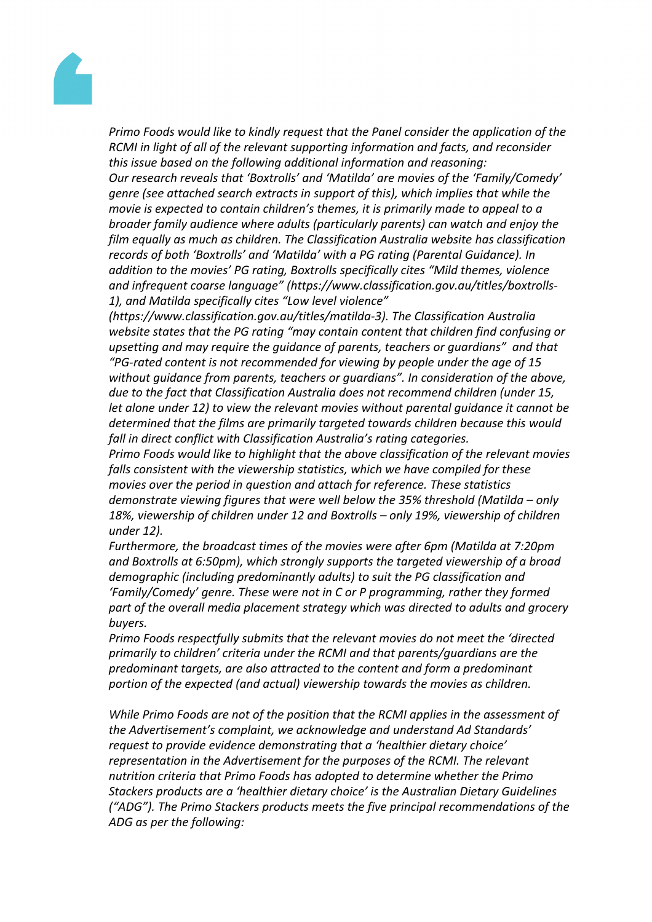

*Primo Foods would like to kindly request that the Panel consider the application of the RCMI in light of all of the relevant supporting information and facts, and reconsider this issue based on the following additional information and reasoning:*

*Our research reveals that 'Boxtrolls' and 'Matilda' are movies of the 'Family/Comedy' genre (see attached search extracts in support of this), which implies that while the movie is expected to contain children's themes, it is primarily made to appeal to a broader family audience where adults (particularly parents) can watch and enjoy the film equally as much as children. The Classification Australia website has classification records of both 'Boxtrolls' and 'Matilda' with a PG rating (Parental Guidance). In addition to the movies' PG rating, Boxtrolls specifically cites "Mild themes, violence and infrequent coarse language" (https://www.classification.gov.au/titles/boxtrolls-1), and Matilda specifically cites "Low level violence"*

*(https://www.classification.gov.au/titles/matilda-3). The Classification Australia website states that the PG rating "may contain content that children find confusing or upsetting and may require the guidance of parents, teachers or guardians" and that "PG-rated content is not recommended for viewing by people under the age of 15 without guidance from parents, teachers or guardians". In consideration of the above, due to the fact that Classification Australia does not recommend children (under 15, let alone under 12) to view the relevant movies without parental guidance it cannot be determined that the films are primarily targeted towards children because this would fall in direct conflict with Classification Australia's rating categories.*

*Primo Foods would like to highlight that the above classification of the relevant movies falls consistent with the viewership statistics, which we have compiled for these movies over the period in question and attach for reference. These statistics demonstrate viewing figures that were well below the 35% threshold (Matilda – only 18%, viewership of children under 12 and Boxtrolls – only 19%, viewership of children under 12).*

*Furthermore, the broadcast times of the movies were after 6pm (Matilda at 7:20pm and Boxtrolls at 6:50pm), which strongly supports the targeted viewership of a broad demographic (including predominantly adults) to suit the PG classification and 'Family/Comedy' genre. These were not in C or P programming, rather they formed part of the overall media placement strategy which was directed to adults and grocery buyers.*

*Primo Foods respectfully submits that the relevant movies do not meet the 'directed primarily to children' criteria under the RCMI and that parents/guardians are the predominant targets, are also attracted to the content and form a predominant portion of the expected (and actual) viewership towards the movies as children.*

*While Primo Foods are not of the position that the RCMI applies in the assessment of the Advertisement's complaint, we acknowledge and understand Ad Standards' request to provide evidence demonstrating that a 'healthier dietary choice' representation in the Advertisement for the purposes of the RCMI. The relevant nutrition criteria that Primo Foods has adopted to determine whether the Primo Stackers products are a 'healthier dietary choice' is the Australian Dietary Guidelines ("ADG"). The Primo Stackers products meets the five principal recommendations of the ADG as per the following:*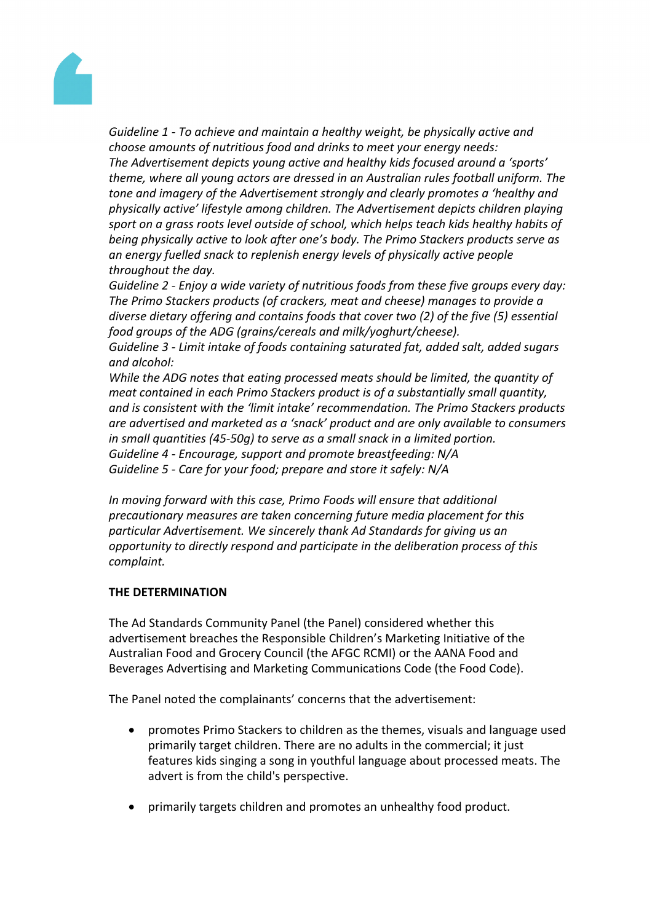

*Guideline 1 - To achieve and maintain a healthy weight, be physically active and choose amounts of nutritious food and drinks to meet your energy needs: The Advertisement depicts young active and healthy kids focused around a 'sports' theme, where all young actors are dressed in an Australian rules football uniform. The tone and imagery of the Advertisement strongly and clearly promotes a 'healthy and physically active' lifestyle among children. The Advertisement depicts children playing sport on a grass roots level outside of school, which helps teach kids healthy habits of being physically active to look after one's body. The Primo Stackers products serve as an energy fuelled snack to replenish energy levels of physically active people throughout the day.*

*Guideline 2 - Enjoy a wide variety of nutritious foods from these five groups every day: The Primo Stackers products (of crackers, meat and cheese) manages to provide a diverse dietary offering and contains foods that cover two (2) of the five (5) essential food groups of the ADG (grains/cereals and milk/yoghurt/cheese).*

*Guideline 3 - Limit intake of foods containing saturated fat, added salt, added sugars and alcohol:*

*While the ADG notes that eating processed meats should be limited, the quantity of meat contained in each Primo Stackers product is of a substantially small quantity, and is consistent with the 'limit intake' recommendation. The Primo Stackers products are advertised and marketed as a 'snack' product and are only available to consumers in small quantities (45-50g) to serve as a small snack in a limited portion. Guideline 4 - Encourage, support and promote breastfeeding: N/A Guideline 5 - Care for your food; prepare and store it safely: N/A*

*In moving forward with this case, Primo Foods will ensure that additional precautionary measures are taken concerning future media placement for this particular Advertisement. We sincerely thank Ad Standards for giving us an opportunity to directly respond and participate in the deliberation process of this complaint.*

#### **THE DETERMINATION**

The Ad Standards Community Panel (the Panel) considered whether this advertisement breaches the Responsible Children's Marketing Initiative of the Australian Food and Grocery Council (the AFGC RCMI) or the AANA Food and Beverages Advertising and Marketing Communications Code (the Food Code).

The Panel noted the complainants' concerns that the advertisement:

- promotes Primo Stackers to children as the themes, visuals and language used primarily target children. There are no adults in the commercial; it just features kids singing a song in youthful language about processed meats. The advert is from the child's perspective.
- primarily targets children and promotes an unhealthy food product.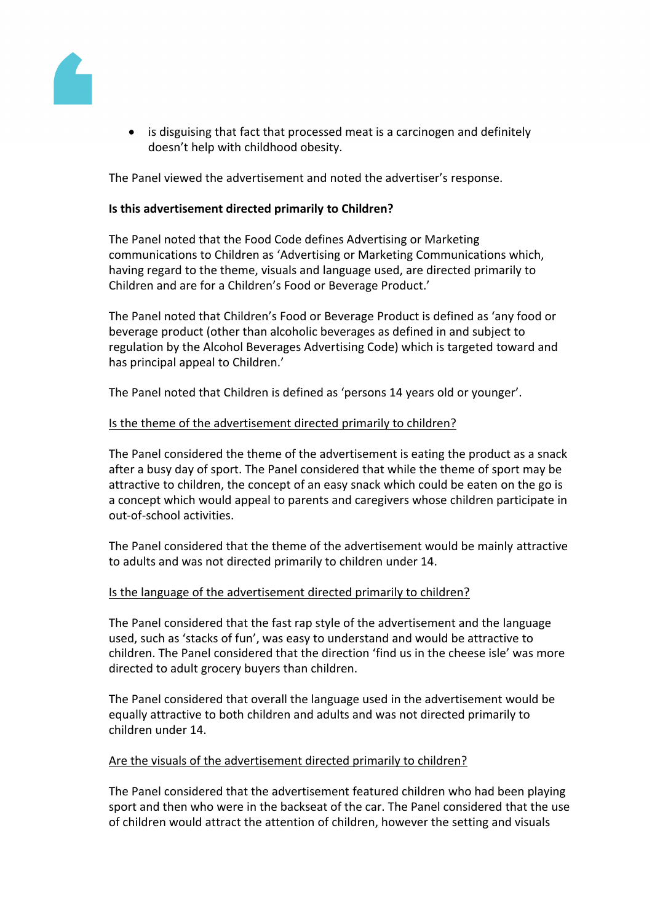

• is disguising that fact that processed meat is a carcinogen and definitely doesn't help with childhood obesity.

The Panel viewed the advertisement and noted the advertiser's response.

### **Is this advertisement directed primarily to Children?**

The Panel noted that the Food Code defines Advertising or Marketing communications to Children as 'Advertising or Marketing Communications which, having regard to the theme, visuals and language used, are directed primarily to Children and are for a Children's Food or Beverage Product.'

The Panel noted that Children's Food or Beverage Product is defined as 'any food or beverage product (other than alcoholic beverages as defined in and subject to regulation by the Alcohol Beverages Advertising Code) which is targeted toward and has principal appeal to Children.'

The Panel noted that Children is defined as 'persons 14 years old or younger'.

#### Is the theme of the advertisement directed primarily to children?

The Panel considered the theme of the advertisement is eating the product as a snack after a busy day of sport. The Panel considered that while the theme of sport may be attractive to children, the concept of an easy snack which could be eaten on the go is a concept which would appeal to parents and caregivers whose children participate in out-of-school activities.

The Panel considered that the theme of the advertisement would be mainly attractive to adults and was not directed primarily to children under 14.

#### Is the language of the advertisement directed primarily to children?

The Panel considered that the fast rap style of the advertisement and the language used, such as 'stacks of fun', was easy to understand and would be attractive to children. The Panel considered that the direction 'find us in the cheese isle' was more directed to adult grocery buyers than children.

The Panel considered that overall the language used in the advertisement would be equally attractive to both children and adults and was not directed primarily to children under 14.

#### Are the visuals of the advertisement directed primarily to children?

The Panel considered that the advertisement featured children who had been playing sport and then who were in the backseat of the car. The Panel considered that the use of children would attract the attention of children, however the setting and visuals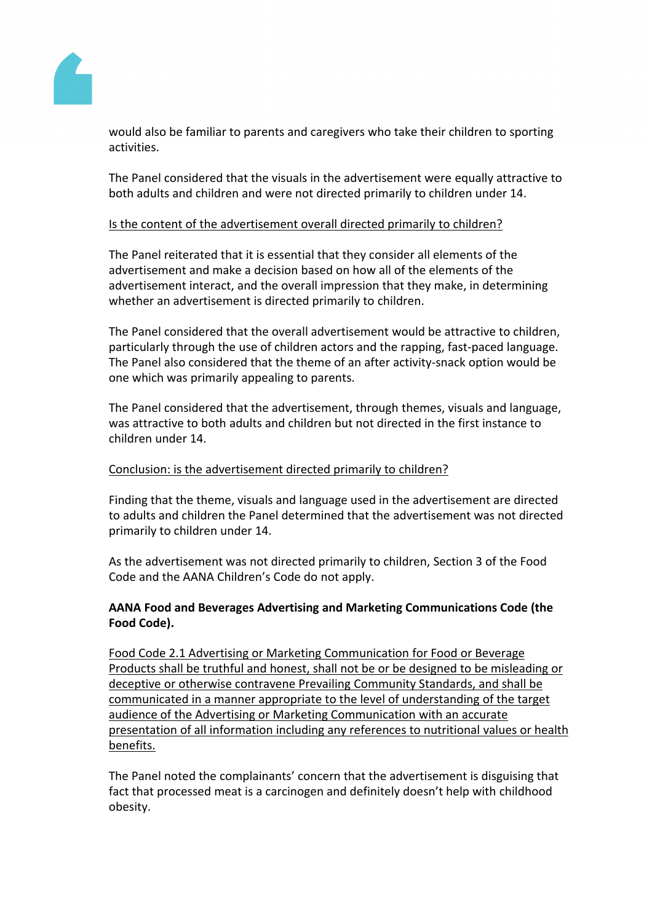

would also be familiar to parents and caregivers who take their children to sporting activities.

The Panel considered that the visuals in the advertisement were equally attractive to both adults and children and were not directed primarily to children under 14.

## Is the content of the advertisement overall directed primarily to children?

The Panel reiterated that it is essential that they consider all elements of the advertisement and make a decision based on how all of the elements of the advertisement interact, and the overall impression that they make, in determining whether an advertisement is directed primarily to children.

The Panel considered that the overall advertisement would be attractive to children, particularly through the use of children actors and the rapping, fast-paced language. The Panel also considered that the theme of an after activity-snack option would be one which was primarily appealing to parents.

The Panel considered that the advertisement, through themes, visuals and language, was attractive to both adults and children but not directed in the first instance to children under 14.

#### Conclusion: is the advertisement directed primarily to children?

Finding that the theme, visuals and language used in the advertisement are directed to adults and children the Panel determined that the advertisement was not directed primarily to children under 14.

As the advertisement was not directed primarily to children, Section 3 of the Food Code and the AANA Children's Code do not apply.

## **AANA Food and Beverages Advertising and Marketing Communications Code (the Food Code).**

Food Code 2.1 Advertising or Marketing Communication for Food or Beverage Products shall be truthful and honest, shall not be or be designed to be misleading or deceptive or otherwise contravene Prevailing Community Standards, and shall be communicated in a manner appropriate to the level of understanding of the target audience of the Advertising or Marketing Communication with an accurate presentation of all information including any references to nutritional values or health benefits.

The Panel noted the complainants' concern that the advertisement is disguising that fact that processed meat is a carcinogen and definitely doesn't help with childhood obesity.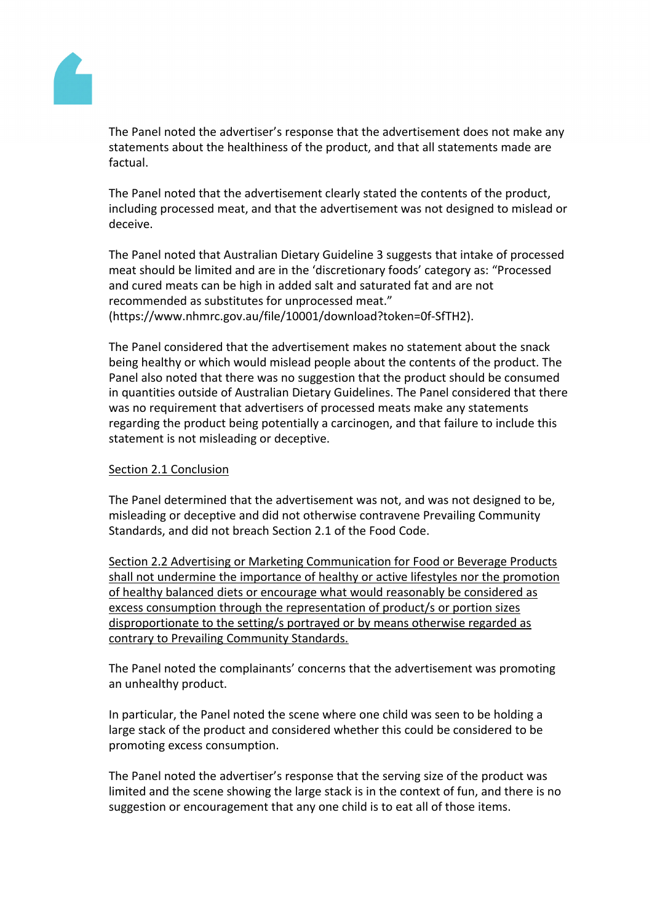ThePanel noted theadvertiser's responsethat the advertisement does not a keany statementsabout thehealthiness ofhe product, and thatall statements madeare factual.

ThePanel noted that theadvertisement clearly statethe contentsof the product, including processed heat, and that the advertisement was notesigned to mislead or deceive.

ThePanel noted that Australian Dietary Guideline 3 suggests intake of processed meat shouldbe limited and are in the 'discretionary foods' category a Processed and curedmeats carbe high in added saltnd saturated faltndarenot recommended as substitutes for processed meat." [\(https://www.nhmrc.gov.au/file/10001/download?token=0f-SfT](https://www.nhmrc.gov.au/file/10001/download?token=0f-SfTH2)H2).

ThePanel considered that the advertisementales nostatement about the snack being healthyor which wouldmisleadpeopleabout the contentsof the product. The Panelalsonoted that there was no uggestion that the product should be consumed in quantities outside oAustralian DietarGuidelines.ThePanelconsidered thatthere was norequirement thatadvertisers of processed meats make statements regarding the product being potentially a carcinogen, and the tilureto include this statementis not misleading odeceptive.

#### Section 2.1Conclusion

ThePanel determined hat the advertisement was not and was not designed to be, misleading or deceptive and did not therwise contravene Prevailing Community Standards, and did not reach Section 2.1 of the Food Code.

Section 2.2Advertising or Marketing Communication for ador Beverage Products shall not undermine the importance of healthy oractive lifestyles nor the promotion of healthy balanceddiets or encourage whatwouldreasonablybe consideredas excess consumption throughe representation of product/sor portion sizes disproportionate to the setting/s portrayed oby means otherwise eqarded as contrary to Prevailin@ommunity Standards.

ThePanel noted thecomplainants'concerns thatthe advertisementwaspromoting anunhealthy product.

In particular, the Panel noted thescenewhere one child was seento be holding a large stack of he productand considered whether this could be considered bbe promotingexcessconsumption.

ThePanel noted theadvertiser's responsethat the serving size of the roduct was limited and the sceneshowing the large stack is the context of fun, and here is no suggestioror encouragementhat anyone child is toeat all of thoseitems.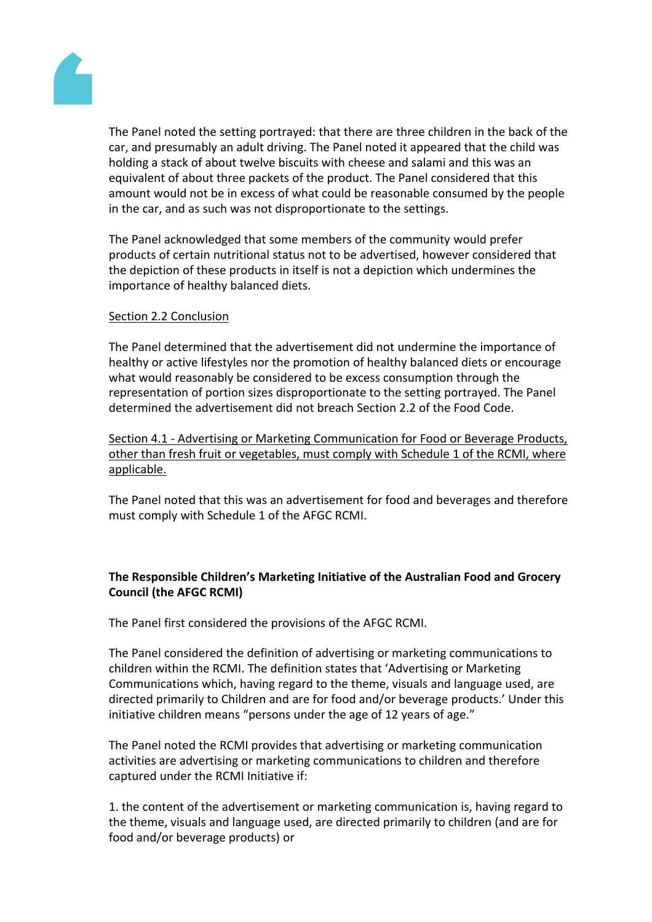

The Panel noted the setting portrayed: that there are three children in the back of the car, and presumably an adult driving. The Panel noted it appeared that the child was holding a stack of about twelve biscuits with cheese and salami and this was an equivalent of about three packets of the product. The Panel considered that this amount would not be in excess of what could be reasonable consumed by the people in the car, and as such was not disproportionate to the settings.

The Panel acknowledged that some members of the community would prefer products of certain nutritional status not to be advertised, however considered that the depiction of these products in itself is not a depiction which undermines the importance of healthy balanced diets.

#### Section 2.2 Conclusion

The Panel determined that the advertisement did not undermine the importance of healthy or active lifestyles nor the promotion of healthy balanced diets or encourage what would reasonably be considered to be excess consumption through the representation of portion sizes disproportionate to the setting portrayed. The Panel determined the advertisement did not breach Section 2.2 of the Food Code.

Section 4.1 - Advertising or Marketing Communication for Food or Beverage Products, other than fresh fruit or vegetables, must comply with Schedule 1 of the RCMI, where applicable.

The Panel noted that this was an advertisement for food and beverages and therefore must comply with Schedule 1 of the AFGC RCMI.

# **The Responsible Children's Marketing Initiative of the Australian Food and Grocery Council (the AFGC RCMI)**

The Panel first considered the provisions of the AFGC RCMI.

The Panel considered the definition of advertising or marketing communications to children within the RCMI. The definition states that 'Advertising or Marketing Communications which, having regard to the theme, visuals and language used, are directed primarily to Children and are for food and/or beverage products.' Under this initiative children means "persons under the age of 12 years of age."

The Panel noted the RCMI provides that advertising or marketing communication activities are advertising or marketing communications to children and therefore captured under the RCMI Initiative if:

1. the content of the advertisement or marketing communication is, having regard to the theme, visuals and language used, are directed primarily to children (and are for food and/or beverage products) or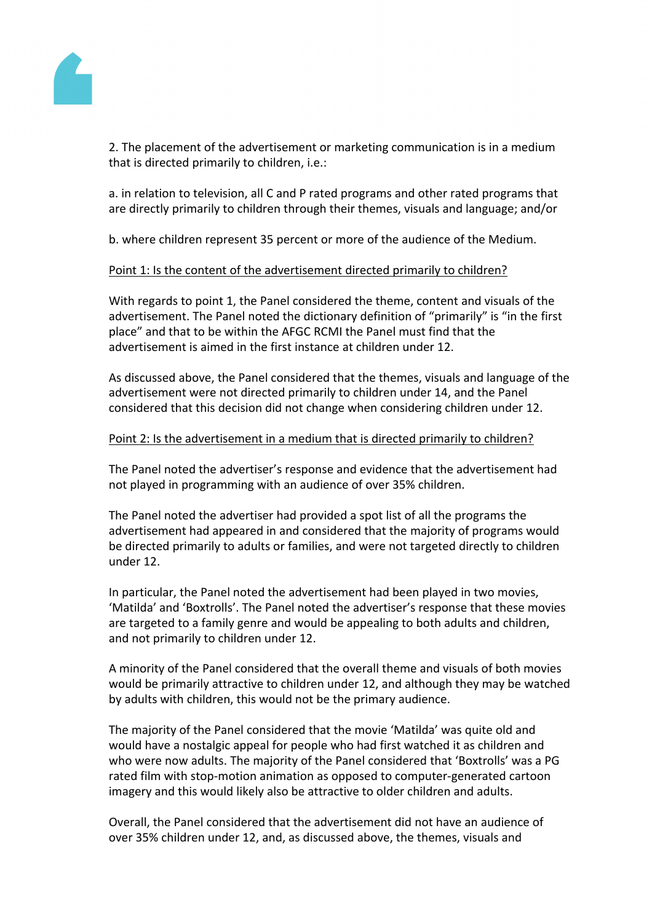

2. The placement of the advertisement or marketing communication is in a medium that is directed primarily to children, i.e.:

a. in relation to television, all C and P rated programs and other rated programs that are directly primarily to children through their themes, visuals and language; and/or

b. where children represent 35 percent or more of the audience of the Medium.

#### Point 1: Is the content of the advertisement directed primarily to children?

With regards to point 1, the Panel considered the theme, content and visuals of the advertisement. The Panel noted the dictionary definition of "primarily" is "in the first place" and that to be within the AFGC RCMI the Panel must find that the advertisement is aimed in the first instance at children under 12.

As discussed above, the Panel considered that the themes, visuals and language of the advertisement were not directed primarily to children under 14, and the Panel considered that this decision did not change when considering children under 12.

#### Point 2: Is the advertisement in a medium that is directed primarily to children?

The Panel noted the advertiser's response and evidence that the advertisement had not played in programming with an audience of over 35% children.

The Panel noted the advertiser had provided a spot list of all the programs the advertisement had appeared in and considered that the majority of programs would be directed primarily to adults or families, and were not targeted directly to children under 12.

In particular, the Panel noted the advertisement had been played in two movies, 'Matilda' and 'Boxtrolls'. The Panel noted the advertiser's response that these movies are targeted to a family genre and would be appealing to both adults and children, and not primarily to children under 12.

A minority of the Panel considered that the overall theme and visuals of both movies would be primarily attractive to children under 12, and although they may be watched by adults with children, this would not be the primary audience.

The majority of the Panel considered that the movie 'Matilda' was quite old and would have a nostalgic appeal for people who had first watched it as children and who were now adults. The majority of the Panel considered that 'Boxtrolls' was a PG rated film with stop-motion animation as opposed to computer-generated cartoon imagery and this would likely also be attractive to older children and adults.

Overall, the Panel considered that the advertisement did not have an audience of over 35% children under 12, and, as discussed above, the themes, visuals and